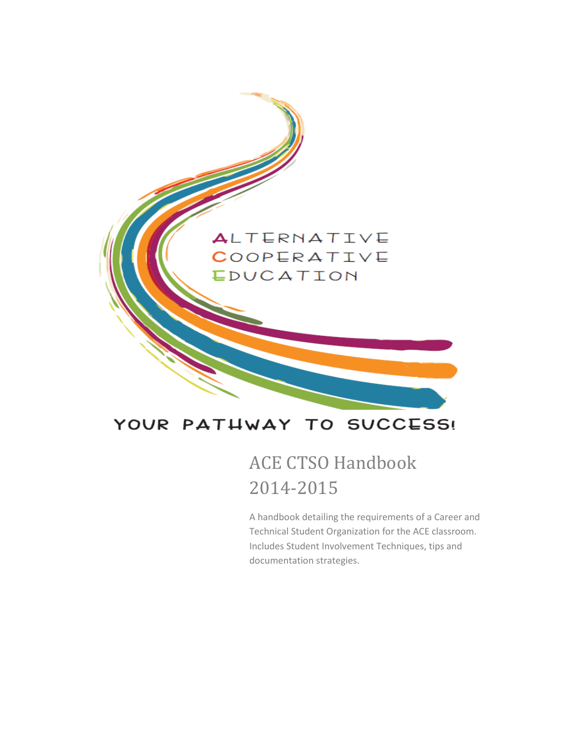

### YOUR PATHWAY TO SUCCESS!

### ACE CTSO Handbook 2014-2015

A handbook detailing the requirements of a Career and Technical Student Organization for the ACE classroom. Includes Student Involvement Techniques, tips and documentation strategies.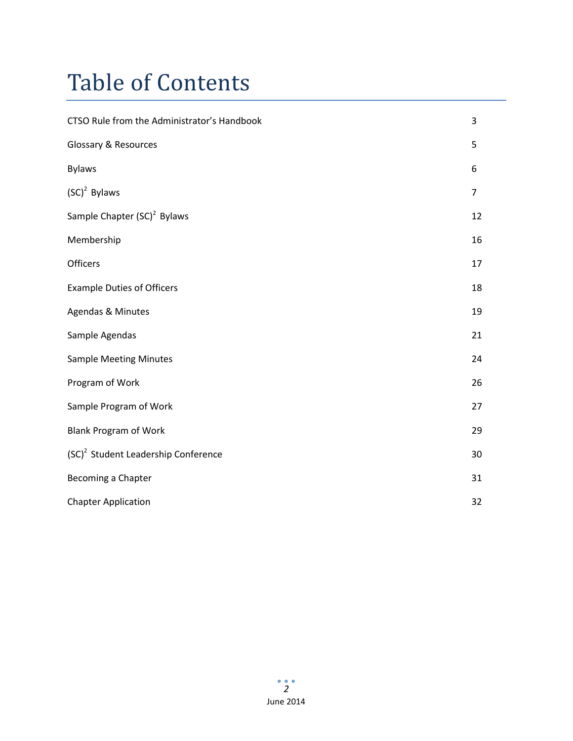## Table of Contents

| CTSO Rule from the Administrator's Handbook     | 3              |
|-------------------------------------------------|----------------|
| <b>Glossary &amp; Resources</b>                 | 5              |
| <b>Bylaws</b>                                   | 6              |
| $(SC)^2$ Bylaws                                 | $\overline{7}$ |
| Sample Chapter (SC) <sup>2</sup> Bylaws         | 12             |
| Membership                                      | 16             |
| <b>Officers</b>                                 | 17             |
| <b>Example Duties of Officers</b>               | 18             |
| Agendas & Minutes                               | 19             |
| Sample Agendas                                  | 21             |
| <b>Sample Meeting Minutes</b>                   | 24             |
| Program of Work                                 | 26             |
| Sample Program of Work                          | 27             |
| <b>Blank Program of Work</b>                    | 29             |
| (SC) <sup>2</sup> Student Leadership Conference | 30             |
| Becoming a Chapter                              | 31             |
| <b>Chapter Application</b>                      | 32             |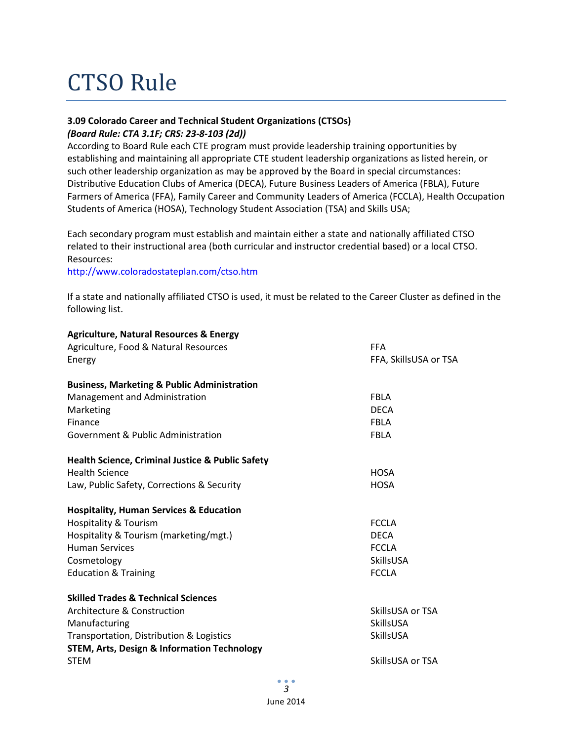## CTSO Rule

### **3.09 Colorado Career and Technical Student Organizations (CTSOs)** *(Board Rule: CTA 3.1F; CRS: 23-8-103 (2d))*

According to Board Rule each CTE program must provide leadership training opportunities by establishing and maintaining all appropriate CTE student leadership organizations as listed herein, or such other leadership organization as may be approved by the Board in special circumstances: Distributive Education Clubs of America (DECA), Future Business Leaders of America (FBLA), Future Farmers of America (FFA), Family Career and Community Leaders of America (FCCLA), Health Occupation Students of America (HOSA), Technology Student Association (TSA) and Skills USA;

Each secondary program must establish and maintain either a state and nationally affiliated CTSO related to their instructional area (both curricular and instructor credential based) or a local CTSO. Resources:

http://www.coloradostateplan.com/ctso.htm

If a state and nationally affiliated CTSO is used, it must be related to the Career Cluster as defined in the following list.

| <b>Agriculture, Natural Resources &amp; Energy</b>          |                       |
|-------------------------------------------------------------|-----------------------|
| Agriculture, Food & Natural Resources                       | <b>FFA</b>            |
| Energy                                                      | FFA, SkillsUSA or TSA |
| <b>Business, Marketing &amp; Public Administration</b>      |                       |
| Management and Administration                               | <b>FBLA</b>           |
| Marketing                                                   | <b>DECA</b>           |
| Finance                                                     | <b>FBLA</b>           |
| Government & Public Administration                          | <b>FBLA</b>           |
| <b>Health Science, Criminal Justice &amp; Public Safety</b> |                       |
| <b>Health Science</b>                                       | <b>HOSA</b>           |
| Law, Public Safety, Corrections & Security                  | <b>HOSA</b>           |
| <b>Hospitality, Human Services &amp; Education</b>          |                       |
| Hospitality & Tourism                                       | <b>FCCLA</b>          |
| Hospitality & Tourism (marketing/mgt.)                      | <b>DECA</b>           |
| <b>Human Services</b>                                       | <b>FCCLA</b>          |
| Cosmetology                                                 | <b>SkillsUSA</b>      |
| <b>Education &amp; Training</b>                             | <b>FCCLA</b>          |
| <b>Skilled Trades &amp; Technical Sciences</b>              |                       |
| Architecture & Construction                                 | SkillsUSA or TSA      |
| Manufacturing                                               | SkillsUSA             |
| Transportation, Distribution & Logistics                    | SkillsUSA             |
| <b>STEM, Arts, Design &amp; Information Technology</b>      |                       |
| <b>STEM</b>                                                 | SkillsUSA or TSA      |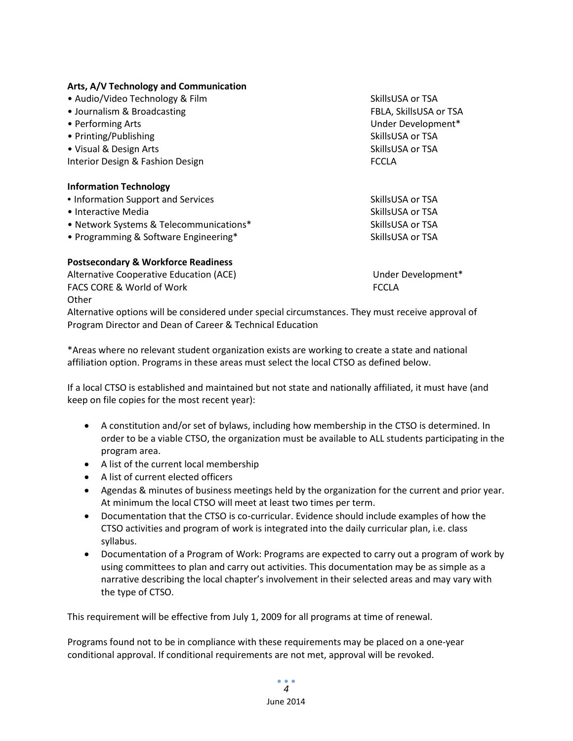|  |  |  | Arts, A/V Technology and Communication |
|--|--|--|----------------------------------------|
|--|--|--|----------------------------------------|

| • Audio/Video Technology & Film         | SkillsUSA or TSA       |
|-----------------------------------------|------------------------|
| • Journalism & Broadcasting             | FBLA, SkillsUSA or TSA |
| • Performing Arts                       | Under Development*     |
| • Printing/Publishing                   | SkillsUSA or TSA       |
| • Visual & Design Arts                  | SkillsUSA or TSA       |
| Interior Design & Fashion Design        | <b>FCCLA</b>           |
| <b>Information Technology</b>           |                        |
| • Information Support and Services      | SkillsUSA or TSA       |
| • Interactive Media                     | SkillsUSA or TSA       |
| • Network Systems & Telecommunications* | SkillsUSA or TSA       |
| • Programming & Software Engineering*   | SkillsUSA or TSA       |
|                                         |                        |

### **Postsecondary & Workforce Readiness**

Alternative Cooperative Education (ACE) Network and Muslim Under Development\* FACS CORE & World of Work FORE ALL THE SECOND FORE A SECOND FORE A SECOND FORE A SECOND FORE A SECOND FORE A SECOND FORE A SECOND FOREST AND THE SECOND FOR THE SECOND FOR THE SECOND FOR THE SECOND FOR THE SECOND FOR THE SE **Other** 

Alternative options will be considered under special circumstances. They must receive approval of Program Director and Dean of Career & Technical Education

\*Areas where no relevant student organization exists are working to create a state and national affiliation option. Programs in these areas must select the local CTSO as defined below.

If a local CTSO is established and maintained but not state and nationally affiliated, it must have (and keep on file copies for the most recent year):

- A constitution and/or set of bylaws, including how membership in the CTSO is determined. In order to be a viable CTSO, the organization must be available to ALL students participating in the program area.
- A list of the current local membership
- A list of current elected officers
- Agendas & minutes of business meetings held by the organization for the current and prior year. At minimum the local CTSO will meet at least two times per term.
- Documentation that the CTSO is co-curricular. Evidence should include examples of how the CTSO activities and program of work is integrated into the daily curricular plan, i.e. class syllabus.
- Documentation of a Program of Work: Programs are expected to carry out a program of work by using committees to plan and carry out activities. This documentation may be as simple as a narrative describing the local chapter's involvement in their selected areas and may vary with the type of CTSO.

This requirement will be effective from July 1, 2009 for all programs at time of renewal.

Programs found not to be in compliance with these requirements may be placed on a one-year conditional approval. If conditional requirements are not met, approval will be revoked.

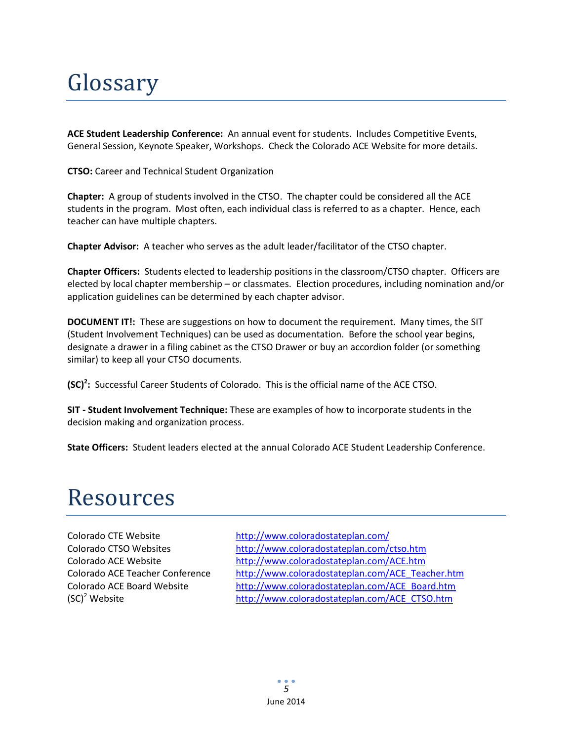## Glossary

**ACE Student Leadership Conference:** An annual event for students. Includes Competitive Events, General Session, Keynote Speaker, Workshops. Check the Colorado ACE Website for more details.

**CTSO:** Career and Technical Student Organization

**Chapter:** A group of students involved in the CTSO. The chapter could be considered all the ACE students in the program. Most often, each individual class is referred to as a chapter. Hence, each teacher can have multiple chapters.

**Chapter Advisor:** A teacher who serves as the adult leader/facilitator of the CTSO chapter.

**Chapter Officers:** Students elected to leadership positions in the classroom/CTSO chapter. Officers are elected by local chapter membership – or classmates. Election procedures, including nomination and/or application guidelines can be determined by each chapter advisor.

**DOCUMENT IT!:** These are suggestions on how to document the requirement. Many times, the SIT (Student Involvement Techniques) can be used as documentation. Before the school year begins, designate a drawer in a filing cabinet as the CTSO Drawer or buy an accordion folder (or something similar) to keep all your CTSO documents.

**(SC)<sup>2</sup> :** Successful Career Students of Colorado. This is the official name of the ACE CTSO.

**SIT - Student Involvement Technique:** These are examples of how to incorporate students in the decision making and organization process.

**State Officers:** Student leaders elected at the annual Colorado ACE Student Leadership Conference.

### Resources

Colorado CTE Website <http://www.coloradostateplan.com/> Colorado CTSO Websites <http://www.coloradostateplan.com/ctso.htm> Colorado ACE Website <http://www.coloradostateplan.com/ACE.htm> Colorado ACE Teacher Conference [http://www.coloradostateplan.com/ACE\\_Teacher.htm](http://www.coloradostateplan.com/ACE_Teacher.htm) Colorado ACE Board Website [http://www.coloradostateplan.com/ACE\\_Board.htm](http://www.coloradostateplan.com/ACE_Board.htm) (SC)<sup>2</sup> Website [http://www.coloradostateplan.com/ACE\\_CTSO.htm](http://www.coloradostateplan.com/ACE_CTSO.htm)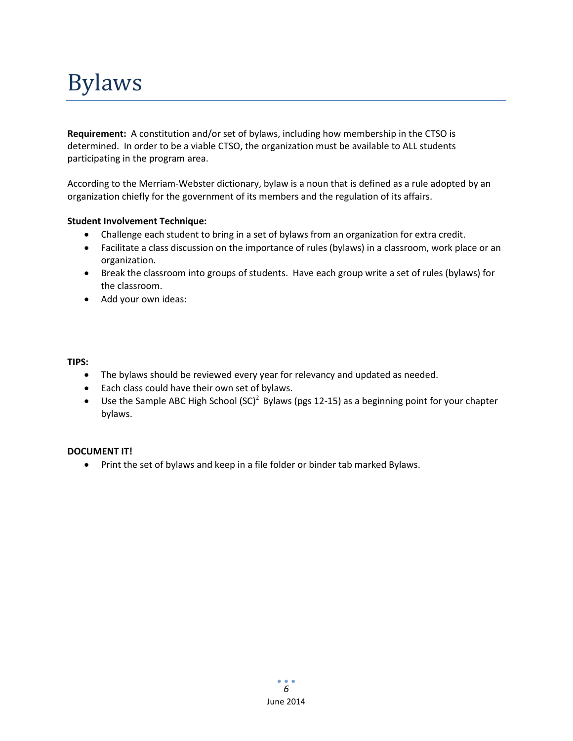## Bylaws

**Requirement:** A constitution and/or set of bylaws, including how membership in the CTSO is determined. In order to be a viable CTSO, the organization must be available to ALL students participating in the program area.

According to the Merriam-Webster dictionary, bylaw is a noun that is defined as a rule adopted by an organization chiefly for the government of its members and the regulation of its affairs.

### **Student Involvement Technique:**

- Challenge each student to bring in a set of bylaws from an organization for extra credit.
- Facilitate a class discussion on the importance of rules (bylaws) in a classroom, work place or an organization.
- Break the classroom into groups of students. Have each group write a set of rules (bylaws) for the classroom.
- Add your own ideas:

### **TIPS:**

- The bylaws should be reviewed every year for relevancy and updated as needed.
- Each class could have their own set of bylaws.
- Use the Sample ABC High School  ${(SC)^2}$  Bylaws (pgs 12-15) as a beginning point for your chapter bylaws.

### **DOCUMENT IT!**

• Print the set of bylaws and keep in a file folder or binder tab marked Bylaws.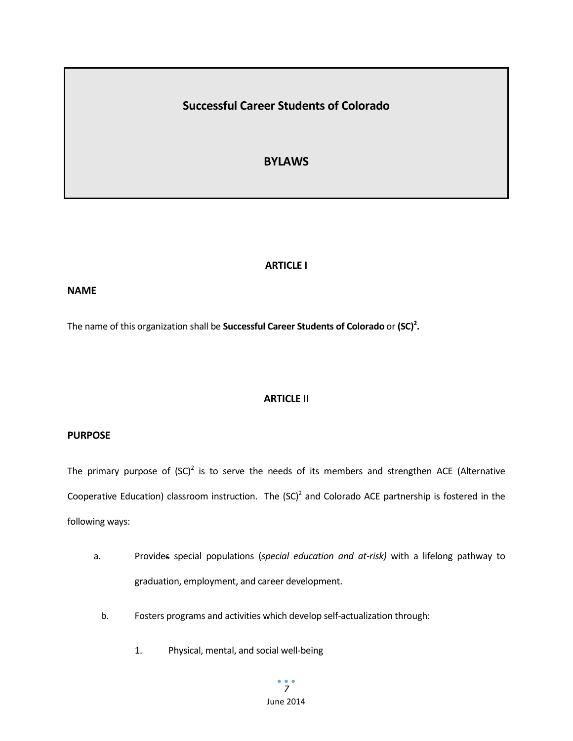### **Successful Career Students of Colorado**

### **BYLAWS**

### **ARTICLE I**

### **NAME**

The name of this organization shall be **Successful Career Students of Colorado** or (SC)<sup>2</sup>.

### **ARTICLE II**

### **PURPOSE**

The primary purpose of  ${({\rm SC})}^2$  is to serve the needs of its members and strengthen ACE (Alternative Cooperative Education) classroom instruction. The  ${(\text{SC})}^2$  and Colorado ACE partnership is fostered in the following ways:

- a. Provides special populations (*special education and at-risk)* with a lifelong pathway to graduation, employment, and career development.
	- b. Fosters programs and activities which develop self-actualization through:
		- 1. Physical, mental, and social well-being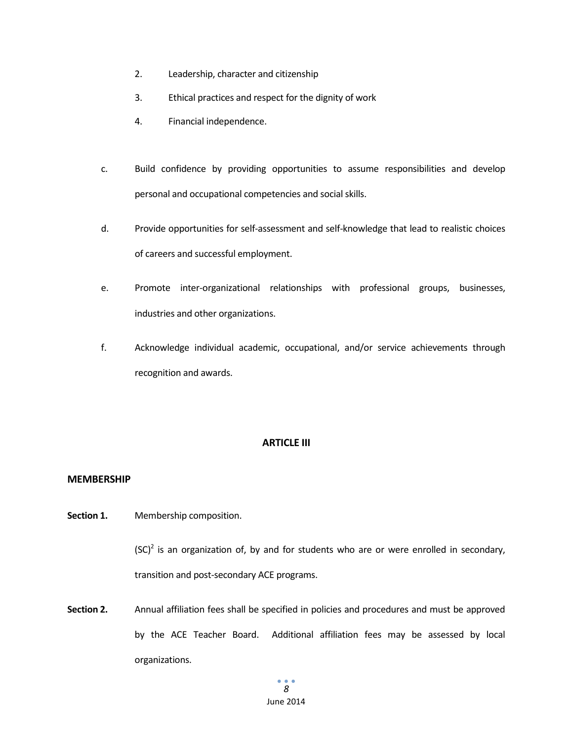- 2. Leadership, character and citizenship
- 3. Ethical practices and respect for the dignity of work
- 4. Financial independence.
- c. Build confidence by providing opportunities to assume responsibilities and develop personal and occupational competencies and social skills.
- d. Provide opportunities for self-assessment and self-knowledge that lead to realistic choices of careers and successful employment.
- e. Promote inter-organizational relationships with professional groups, businesses, industries and other organizations.
- f. Acknowledge individual academic, occupational, and/or service achievements through recognition and awards.

### **ARTICLE III**

### **MEMBERSHIP**

**Section 1.** Membership composition.

 ${(\text{SC})}^2$  is an organization of, by and for students who are or were enrolled in secondary, transition and post-secondary ACE programs.

**Section 2.** Annual affiliation fees shall be specified in policies and procedures and must be approved by the ACE Teacher Board. Additional affiliation fees may be assessed by local organizations.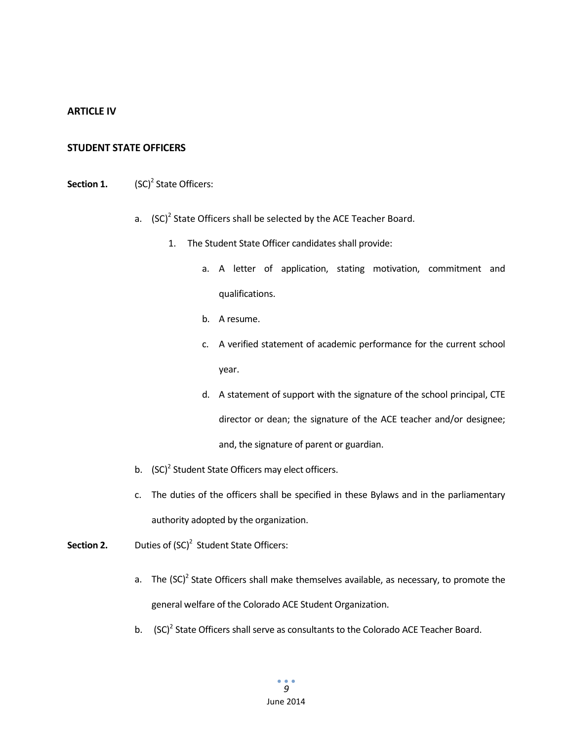### **ARTICLE IV**

#### **STUDENT STATE OFFICERS**

### **Section 1.** (SC)<sup>2</sup> State Officers:

- a.  $(SC)^2$  State Officers shall be selected by the ACE Teacher Board.
	- 1. The Student State Officer candidates shall provide:
		- a. A letter of application, stating motivation, commitment and qualifications.
		- b. A resume.
		- c. A verified statement of academic performance for the current school year.
		- d. A statement of support with the signature of the school principal, CTE director or dean; the signature of the ACE teacher and/or designee; and, the signature of parent or guardian.
- b.  $(SC)^2$  Student State Officers may elect officers.
- c. The duties of the officers shall be specified in these Bylaws and in the parliamentary authority adopted by the organization.
- **Section 2.** Duties of (SC)<sup>2</sup> Student State Officers:
	- a. The  $(SC)^2$  State Officers shall make themselves available, as necessary, to promote the general welfare of the Colorado ACE Student Organization.
	- b. (SC)<sup>2</sup> State Officers shall serve as consultants to the Colorado ACE Teacher Board.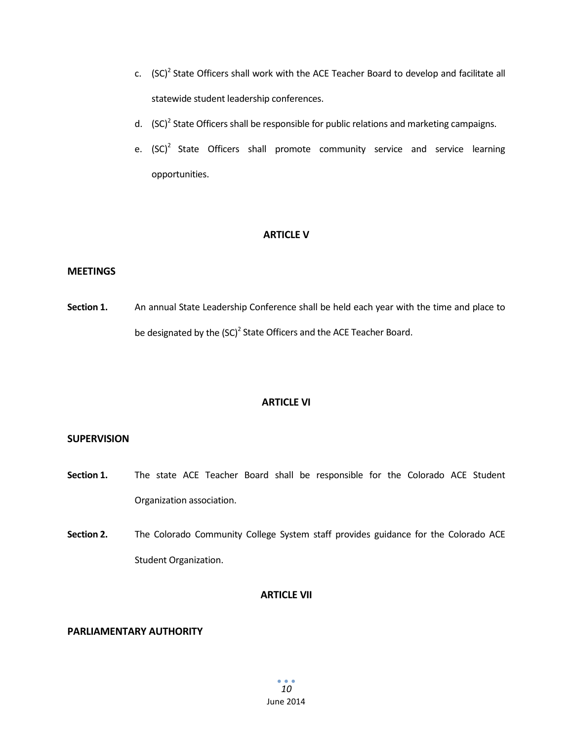- c.  $(SC)^2$  State Officers shall work with the ACE Teacher Board to develop and facilitate all statewide student leadership conferences.
- d.  $(SC)^2$  State Officers shall be responsible for public relations and marketing campaigns.
- e.  $(SC)^2$  State Officers shall promote community service and service learning opportunities.

### **ARTICLE V**

#### **MEETINGS**

**Section 1.** An annual State Leadership Conference shall be held each year with the time and place to be designated by the (SC)<sup>2</sup> State Officers and the ACE Teacher Board.

#### **ARTICLE VI**

### **SUPERVISION**

- **Section 1.** The state ACE Teacher Board shall be responsible for the Colorado ACE Student Organization association.
- **Section 2.** The Colorado Community College System staff provides guidance for the Colorado ACE Student Organization.

#### **ARTICLE VII**

#### **PARLIAMENTARY AUTHORITY**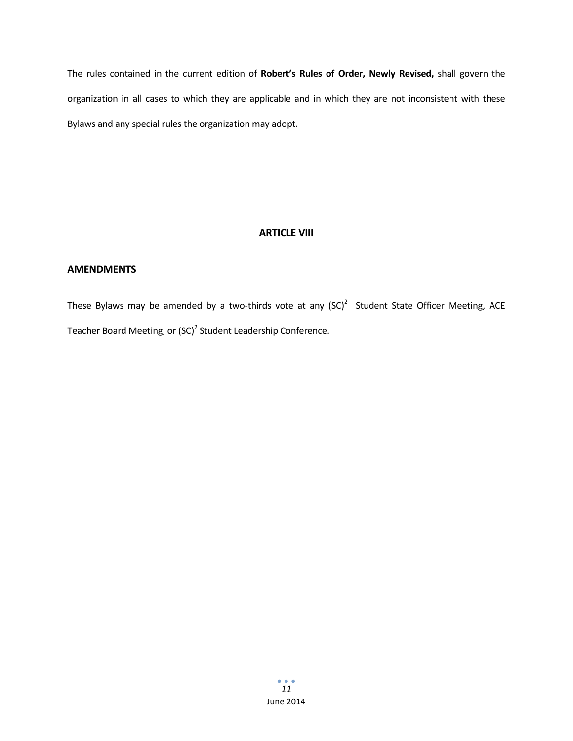The rules contained in the current edition of **Robert's Rules of Order, Newly Revised,** shall govern the organization in all cases to which they are applicable and in which they are not inconsistent with these Bylaws and any special rules the organization may adopt.

### **ARTICLE VIII**

### **AMENDMENTS**

These Bylaws may be amended by a two-thirds vote at any  $(SC)^2$  Student State Officer Meeting, ACE Teacher Board Meeting, or (SC)<sup>2</sup> Student Leadership Conference.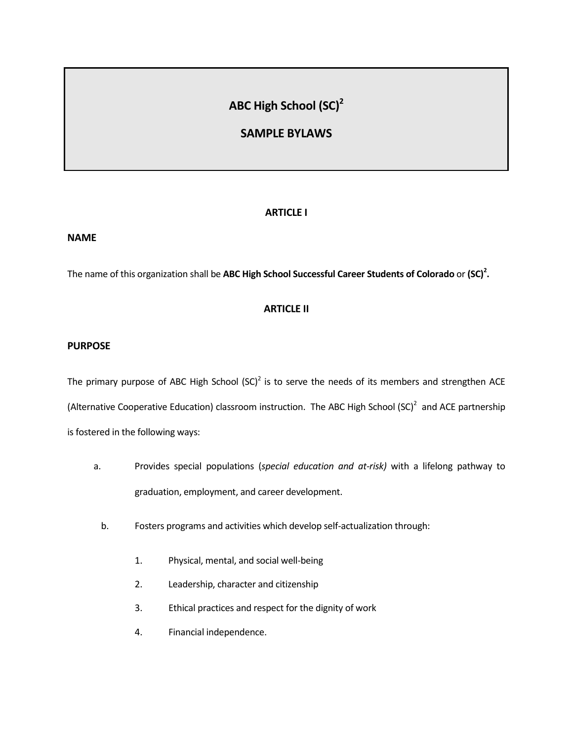### **ABC High School (SC)2**

### **SAMPLE BYLAWS**

### **ARTICLE I**

#### **NAME**

The name of this organization shall be **ABC High School Successful Career Students of Colorado** or **(SC)2 .**

### **ARTICLE II**

### **PURPOSE**

The primary purpose of ABC High School  $(SC)^2$  is to serve the needs of its members and strengthen ACE (Alternative Cooperative Education) classroom instruction. The ABC High School  ${|\text{SC}|}^2$  and ACE partnership is fostered in the following ways:

- a. Provides special populations (*special education and at-risk)* with a lifelong pathway to graduation, employment, and career development.
	- b. Fosters programs and activities which develop self-actualization through:
		- 1. Physical, mental, and social well-being
		- 2. Leadership, character and citizenship
		- 3. Ethical practices and respect for the dignity of work
		- 4. Financial independence.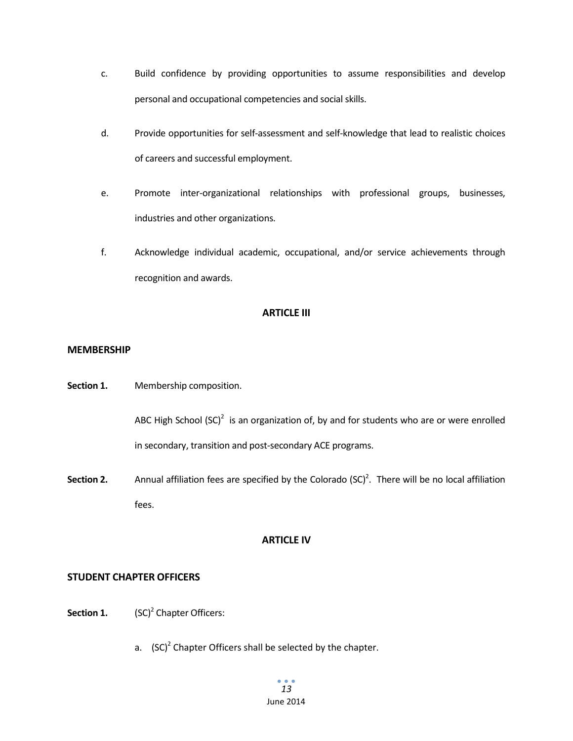- c. Build confidence by providing opportunities to assume responsibilities and develop personal and occupational competencies and social skills.
- d. Provide opportunities for self-assessment and self-knowledge that lead to realistic choices of careers and successful employment.
- e. Promote inter-organizational relationships with professional groups, businesses, industries and other organizations.
- f. Acknowledge individual academic, occupational, and/or service achievements through recognition and awards.

### **ARTICLE III**

### **MEMBERSHIP**

**Section 1.** Membership composition.

ABC High School  ${(\mathsf{SC})}^2$  is an organization of, by and for students who are or were enrolled in secondary, transition and post-secondary ACE programs.

Section 2. Annual affiliation fees are specified by the Colorado (SC)<sup>2</sup>. There will be no local affiliation fees.

### **ARTICLE IV**

### **STUDENT CHAPTER OFFICERS**

- **Section 1.** (SC)<sup>2</sup> Chapter Officers:
	- a.  $(SC)^2$  Chapter Officers shall be selected by the chapter.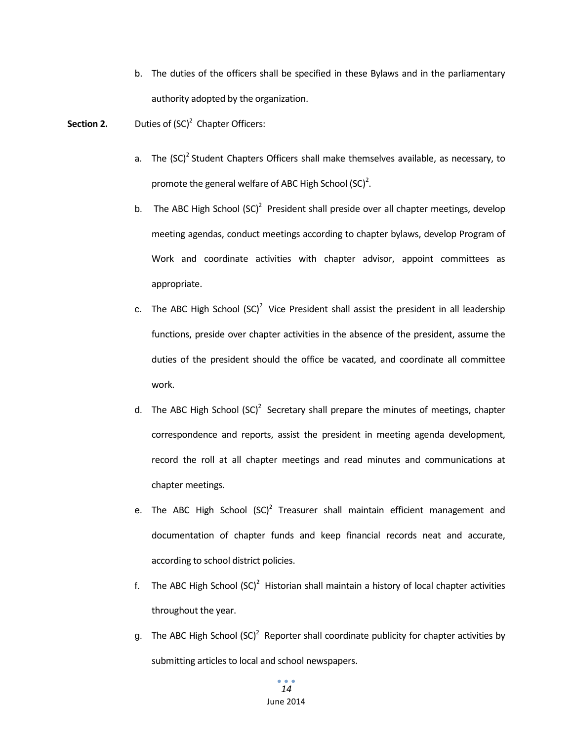- b. The duties of the officers shall be specified in these Bylaws and in the parliamentary authority adopted by the organization.
- **Section 2.** Duties of (SC)<sup>2</sup> Chapter Officers:
	- a. The  $(SC)^2$  Student Chapters Officers shall make themselves available, as necessary, to promote the general welfare of ABC High School  ${(\text{SC})}^2$ .
	- b. The ABC High School  $(SC)^2$  President shall preside over all chapter meetings, develop meeting agendas, conduct meetings according to chapter bylaws, develop Program of Work and coordinate activities with chapter advisor, appoint committees as appropriate.
	- c. The ABC High School  $(SC)^2$  Vice President shall assist the president in all leadership functions, preside over chapter activities in the absence of the president, assume the duties of the president should the office be vacated, and coordinate all committee work.
	- d. The ABC High School  $(SC)^2$  Secretary shall prepare the minutes of meetings, chapter correspondence and reports, assist the president in meeting agenda development, record the roll at all chapter meetings and read minutes and communications at chapter meetings.
	- e. The ABC High School  $(SC)^2$  Treasurer shall maintain efficient management and documentation of chapter funds and keep financial records neat and accurate, according to school district policies.
	- f. The ABC High School  $(**SC**)<sup>2</sup>$  Historian shall maintain a history of local chapter activities throughout the year.
	- g. The ABC High School  ${ |(SC)|^2}$  Reporter shall coordinate publicity for chapter activities by submitting articles to local and school newspapers.

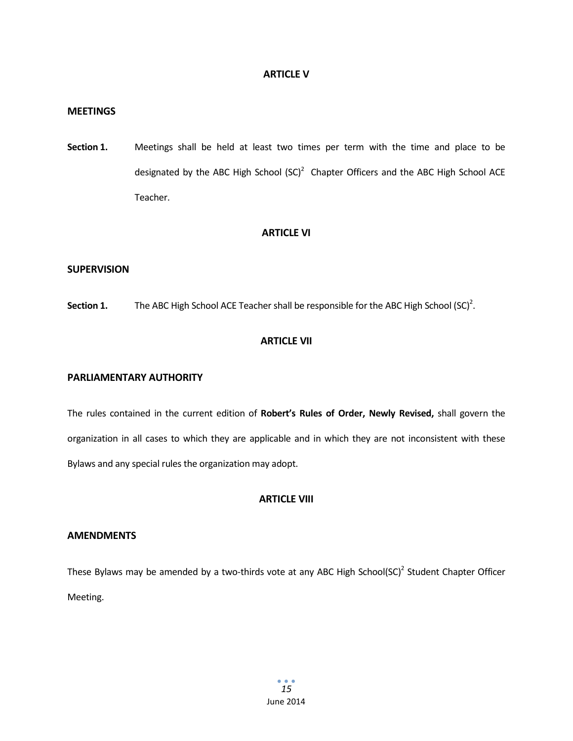### **ARTICLE V**

#### **MEETINGS**

**Section 1.** Meetings shall be held at least two times per term with the time and place to be designated by the ABC High School  $(SC)^2$  Chapter Officers and the ABC High School ACE Teacher.

#### **ARTICLE VI**

### **SUPERVISION**

**Section 1.** The ABC High School ACE Teacher shall be responsible for the ABC High School (SC)<sup>2</sup>.

### **ARTICLE VII**

#### **PARLIAMENTARY AUTHORITY**

The rules contained in the current edition of **Robert's Rules of Order, Newly Revised,** shall govern the organization in all cases to which they are applicable and in which they are not inconsistent with these Bylaws and any special rules the organization may adopt.

### **ARTICLE VIII**

#### **AMENDMENTS**

These Bylaws may be amended by a two-thirds vote at any ABC High School(SC)<sup>2</sup> Student Chapter Officer Meeting.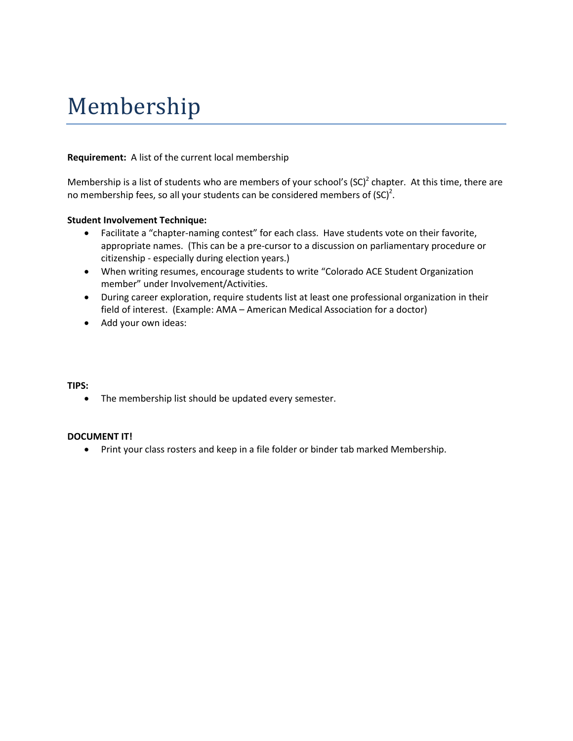### Membership

### **Requirement:** A list of the current local membership

Membership is a list of students who are members of your school's  $(SC)^2$  chapter. At this time, there are no membership fees, so all your students can be considered members of  ${(\mathsf{SC})}^2$ .

### **Student Involvement Technique:**

- Facilitate a "chapter-naming contest" for each class. Have students vote on their favorite, appropriate names. (This can be a pre-cursor to a discussion on parliamentary procedure or citizenship - especially during election years.)
- When writing resumes, encourage students to write "Colorado ACE Student Organization member" under Involvement/Activities.
- During career exploration, require students list at least one professional organization in their field of interest. (Example: AMA – American Medical Association for a doctor)
- Add your own ideas:

### **TIPS:**

• The membership list should be updated every semester.

### **DOCUMENT IT!**

• Print your class rosters and keep in a file folder or binder tab marked Membership.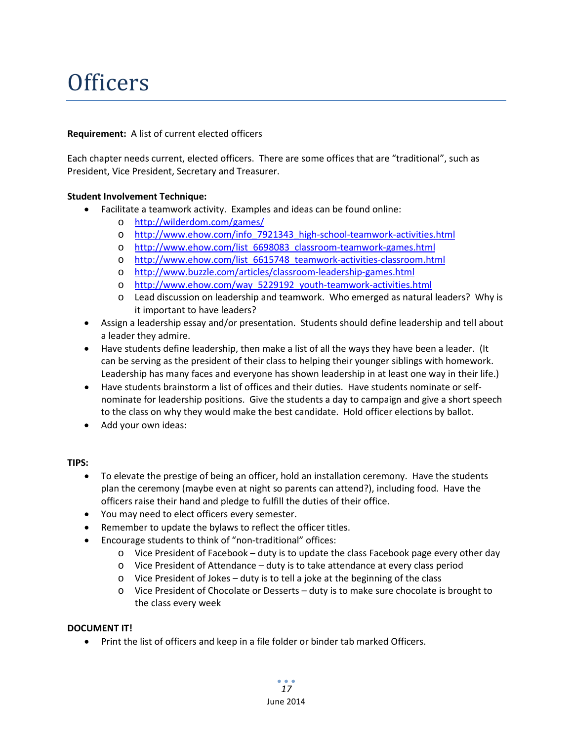## **Officers**

### **Requirement:** A list of current elected officers

Each chapter needs current, elected officers. There are some offices that are "traditional", such as President, Vice President, Secretary and Treasurer.

### **Student Involvement Technique:**

- Facilitate a teamwork activity. Examples and ideas can be found online:
	- o <http://wilderdom.com/games/>
	- o [http://www.ehow.com/info\\_7921343\\_high-school-teamwork-activities.html](http://www.ehow.com/info_7921343_high-school-teamwork-activities.html)
	- o [http://www.ehow.com/list\\_6698083\\_classroom-teamwork-games.html](http://www.ehow.com/list_6698083_classroom-teamwork-games.html)
	- o [http://www.ehow.com/list\\_6615748\\_teamwork-activities-classroom.html](http://www.ehow.com/list_6615748_teamwork-activities-classroom.html)
	- o <http://www.buzzle.com/articles/classroom-leadership-games.html>
	- o [http://www.ehow.com/way\\_5229192\\_youth-teamwork-activities.html](http://www.ehow.com/way_5229192_youth-teamwork-activities.html)
	- o Lead discussion on leadership and teamwork. Who emerged as natural leaders? Why is it important to have leaders?
- Assign a leadership essay and/or presentation. Students should define leadership and tell about a leader they admire.
- Have students define leadership, then make a list of all the ways they have been a leader. (It can be serving as the president of their class to helping their younger siblings with homework. Leadership has many faces and everyone has shown leadership in at least one way in their life.)
- Have students brainstorm a list of offices and their duties. Have students nominate or selfnominate for leadership positions. Give the students a day to campaign and give a short speech to the class on why they would make the best candidate. Hold officer elections by ballot.
- Add your own ideas:

### **TIPS:**

- To elevate the prestige of being an officer, hold an installation ceremony. Have the students plan the ceremony (maybe even at night so parents can attend?), including food. Have the officers raise their hand and pledge to fulfill the duties of their office.
- You may need to elect officers every semester.
- Remember to update the bylaws to reflect the officer titles.
- Encourage students to think of "non-traditional" offices:
	- $\circ$  Vice President of Facebook duty is to update the class Facebook page every other day
	- o Vice President of Attendance duty is to take attendance at every class period
	- o Vice President of Jokes duty is to tell a joke at the beginning of the class
	- o Vice President of Chocolate or Desserts duty is to make sure chocolate is brought to the class every week

### **DOCUMENT IT!**

• Print the list of officers and keep in a file folder or binder tab marked Officers.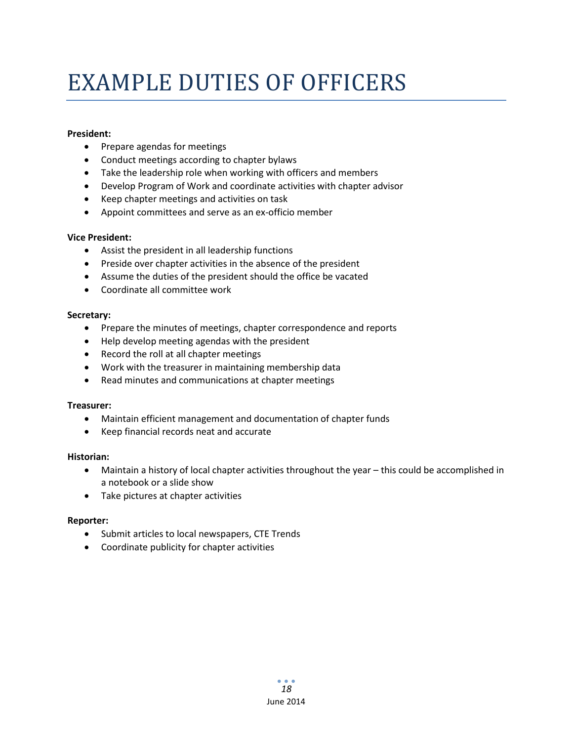## EXAMPLE DUTIES OF OFFICERS

### **President:**

- Prepare agendas for meetings
- Conduct meetings according to chapter bylaws
- Take the leadership role when working with officers and members
- Develop Program of Work and coordinate activities with chapter advisor
- Keep chapter meetings and activities on task
- Appoint committees and serve as an ex-officio member

### **Vice President:**

- Assist the president in all leadership functions
- Preside over chapter activities in the absence of the president
- Assume the duties of the president should the office be vacated
- Coordinate all committee work

### **Secretary:**

- Prepare the minutes of meetings, chapter correspondence and reports
- Help develop meeting agendas with the president
- Record the roll at all chapter meetings
- Work with the treasurer in maintaining membership data
- Read minutes and communications at chapter meetings

### **Treasurer:**

- Maintain efficient management and documentation of chapter funds
- Keep financial records neat and accurate

### **Historian:**

- Maintain a history of local chapter activities throughout the year this could be accomplished in a notebook or a slide show
- Take pictures at chapter activities

### **Reporter:**

- Submit articles to local newspapers, CTE Trends
- Coordinate publicity for chapter activities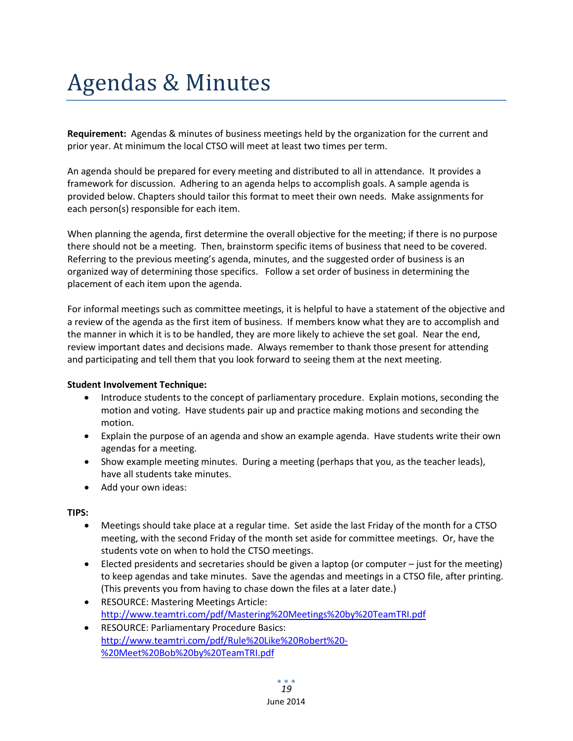## Agendas & Minutes

**Requirement:** Agendas & minutes of business meetings held by the organization for the current and prior year. At minimum the local CTSO will meet at least two times per term.

An agenda should be prepared for every meeting and distributed to all in attendance. It provides a framework for discussion. Adhering to an agenda helps to accomplish goals. A sample agenda is provided below. Chapters should tailor this format to meet their own needs. Make assignments for each person(s) responsible for each item.

When planning the agenda, first determine the overall objective for the meeting; if there is no purpose there should not be a meeting. Then, brainstorm specific items of business that need to be covered. Referring to the previous meeting's agenda, minutes, and the suggested order of business is an organized way of determining those specifics. Follow a set order of business in determining the placement of each item upon the agenda.

For informal meetings such as committee meetings, it is helpful to have a statement of the objective and a review of the agenda as the first item of business. If members know what they are to accomplish and the manner in which it is to be handled, they are more likely to achieve the set goal. Near the end, review important dates and decisions made. Always remember to thank those present for attending and participating and tell them that you look forward to seeing them at the next meeting.

### **Student Involvement Technique:**

- Introduce students to the concept of parliamentary procedure. Explain motions, seconding the motion and voting. Have students pair up and practice making motions and seconding the motion.
- Explain the purpose of an agenda and show an example agenda. Have students write their own agendas for a meeting.
- Show example meeting minutes. During a meeting (perhaps that you, as the teacher leads), have all students take minutes.
- Add your own ideas:

**TIPS:**

- Meetings should take place at a regular time. Set aside the last Friday of the month for a CTSO meeting, with the second Friday of the month set aside for committee meetings. Or, have the students vote on when to hold the CTSO meetings.
- Elected presidents and secretaries should be given a laptop (or computer just for the meeting) to keep agendas and take minutes. Save the agendas and meetings in a CTSO file, after printing. (This prevents you from having to chase down the files at a later date.)
- RESOURCE: Mastering Meetings Article: <http://www.teamtri.com/pdf/Mastering%20Meetings%20by%20TeamTRI.pdf>
- RESOURCE: Parliamentary Procedure Basics: [http://www.teamtri.com/pdf/Rule%20Like%20Robert%20-](http://www.teamtri.com/pdf/Rule%20Like%20Robert%20-%20Meet%20Bob%20by%20TeamTRI.pdf) [%20Meet%20Bob%20by%20TeamTRI.pdf](http://www.teamtri.com/pdf/Rule%20Like%20Robert%20-%20Meet%20Bob%20by%20TeamTRI.pdf)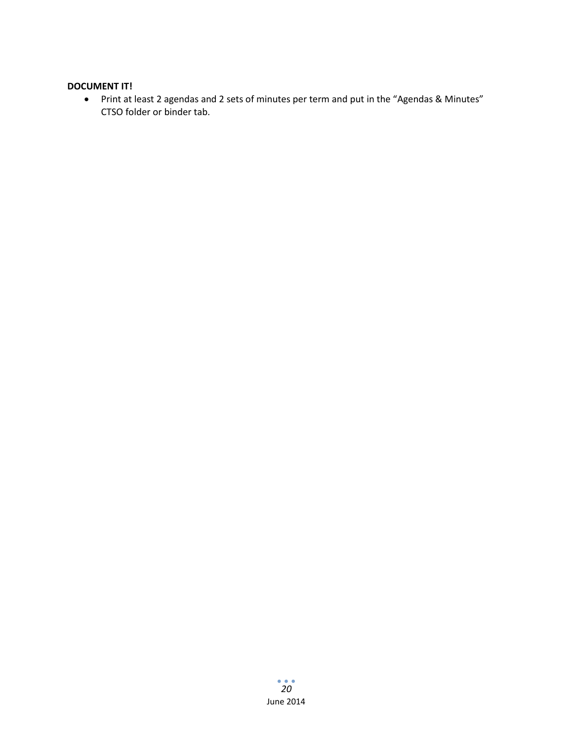### **DOCUMENT IT!**

• Print at least 2 agendas and 2 sets of minutes per term and put in the "Agendas & Minutes" CTSO folder or binder tab.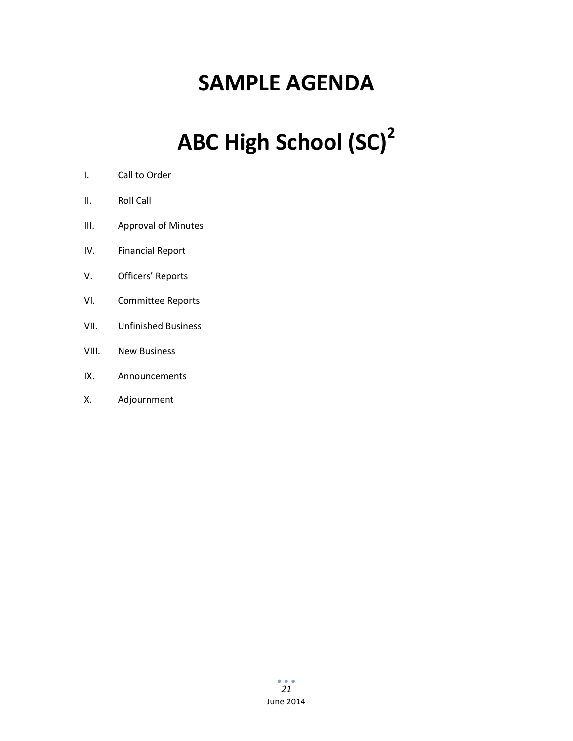### **SAMPLE AGENDA**

# **ABC High School (SC)2**

- I. Call to Order
- II. Roll Call
- III. Approval of Minutes
- IV. Financial Report
- V. Officers' Reports
- VI. Committee Reports
- VII. Unfinished Business
- VIII. New Business
- IX. Announcements
- X. Adjournment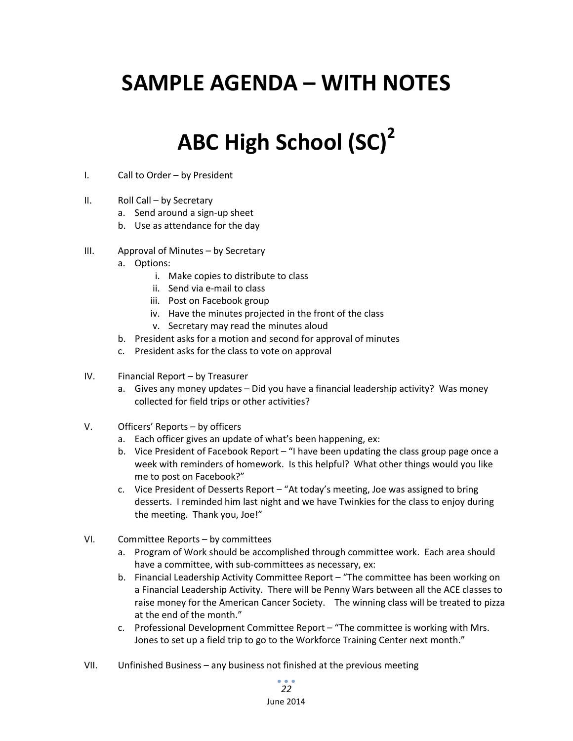### **SAMPLE AGENDA – WITH NOTES**

### **ABC High School (SC)2**

- I. Call to Order by President
- II. Roll Call by Secretary
	- a. Send around a sign-up sheet
	- b. Use as attendance for the day
- III. Approval of Minutes by Secretary
	- a. Options:
		- i. Make copies to distribute to class
		- ii. Send via e-mail to class
		- iii. Post on Facebook group
		- iv. Have the minutes projected in the front of the class
		- v. Secretary may read the minutes aloud
	- b. President asks for a motion and second for approval of minutes
	- c. President asks for the class to vote on approval
- IV. Financial Report by Treasurer
	- a. Gives any money updates Did you have a financial leadership activity? Was money collected for field trips or other activities?
- V. Officers' Reports by officers
	- a. Each officer gives an update of what's been happening, ex:
	- b. Vice President of Facebook Report "I have been updating the class group page once a week with reminders of homework. Is this helpful? What other things would you like me to post on Facebook?"
	- c. Vice President of Desserts Report "At today's meeting, Joe was assigned to bring desserts. I reminded him last night and we have Twinkies for the class to enjoy during the meeting. Thank you, Joe!"
- VI. Committee Reports by committees
	- a. Program of Work should be accomplished through committee work. Each area should have a committee, with sub-committees as necessary, ex:
	- b. Financial Leadership Activity Committee Report "The committee has been working on a Financial Leadership Activity. There will be Penny Wars between all the ACE classes to raise money for the American Cancer Society. The winning class will be treated to pizza at the end of the month."
	- c. Professional Development Committee Report "The committee is working with Mrs. Jones to set up a field trip to go to the Workforce Training Center next month."
- VII. Unfinished Business any business not finished at the previous meeting

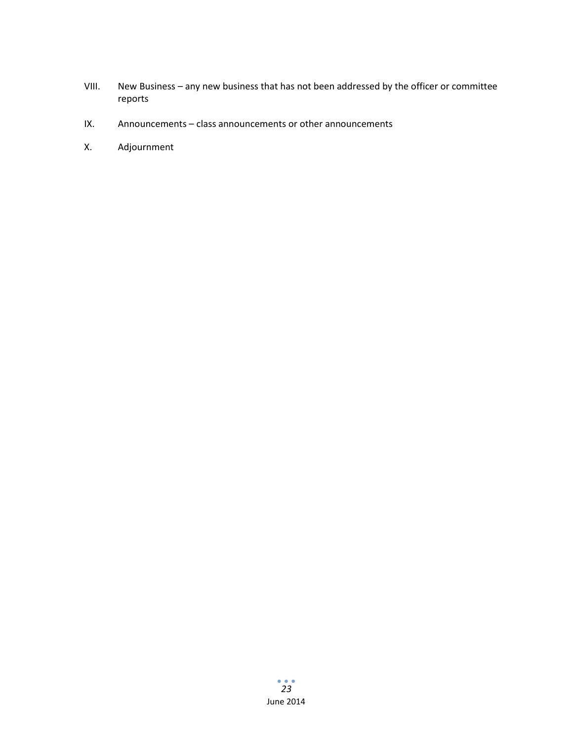- VIII. New Business any new business that has not been addressed by the officer or committee reports
- IX. Announcements class announcements or other announcements
- X. Adjournment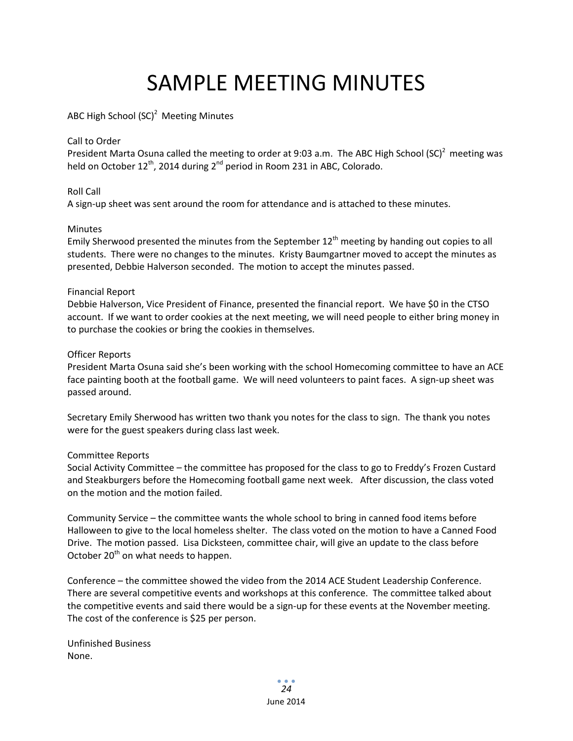### SAMPLE MEETING MINUTES

### ABC High School (SC)<sup>2</sup> Meeting Minutes

### Call to Order

President Marta Osuna called the meeting to order at 9:03 a.m. The ABC High School (SC)<sup>2</sup> meeting was held on October  $12^{th}$ , 2014 during  $2^{nd}$  period in Room 231 in ABC, Colorado.

### Roll Call

A sign-up sheet was sent around the room for attendance and is attached to these minutes.

### **Minutes**

Emily Sherwood presented the minutes from the September  $12<sup>th</sup>$  meeting by handing out copies to all students. There were no changes to the minutes. Kristy Baumgartner moved to accept the minutes as presented, Debbie Halverson seconded. The motion to accept the minutes passed.

### Financial Report

Debbie Halverson, Vice President of Finance, presented the financial report. We have \$0 in the CTSO account. If we want to order cookies at the next meeting, we will need people to either bring money in to purchase the cookies or bring the cookies in themselves.

### Officer Reports

President Marta Osuna said she's been working with the school Homecoming committee to have an ACE face painting booth at the football game. We will need volunteers to paint faces. A sign-up sheet was passed around.

Secretary Emily Sherwood has written two thank you notes for the class to sign. The thank you notes were for the guest speakers during class last week.

### Committee Reports

Social Activity Committee – the committee has proposed for the class to go to Freddy's Frozen Custard and Steakburgers before the Homecoming football game next week. After discussion, the class voted on the motion and the motion failed.

Community Service – the committee wants the whole school to bring in canned food items before Halloween to give to the local homeless shelter. The class voted on the motion to have a Canned Food Drive. The motion passed. Lisa Dicksteen, committee chair, will give an update to the class before October 20<sup>th</sup> on what needs to happen.

Conference – the committee showed the video from the 2014 ACE Student Leadership Conference. There are several competitive events and workshops at this conference. The committee talked about the competitive events and said there would be a sign-up for these events at the November meeting. The cost of the conference is \$25 per person.

Unfinished Business None.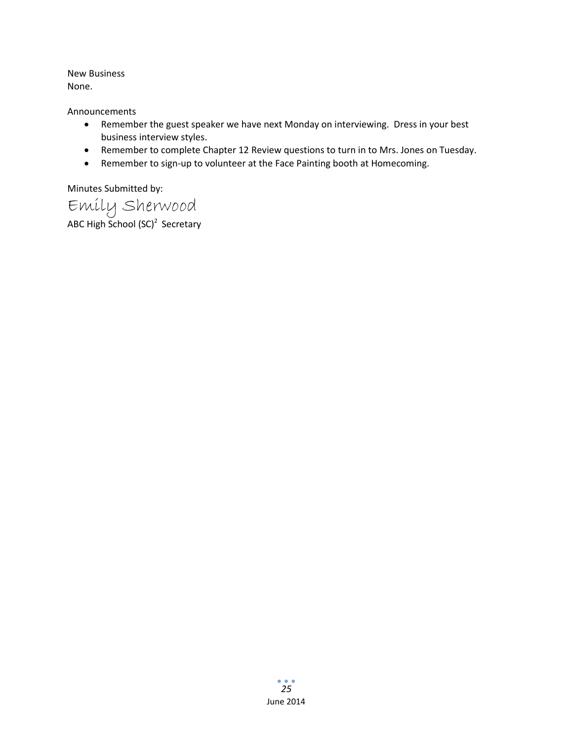New Business None.

Announcements

- Remember the guest speaker we have next Monday on interviewing. Dress in your best business interview styles.
- Remember to complete Chapter 12 Review questions to turn in to Mrs. Jones on Tuesday.
- Remember to sign-up to volunteer at the Face Painting booth at Homecoming.

Minutes Submitted by:

Emily Sherwood ABC High School (SC)<sup>2</sup> Secretary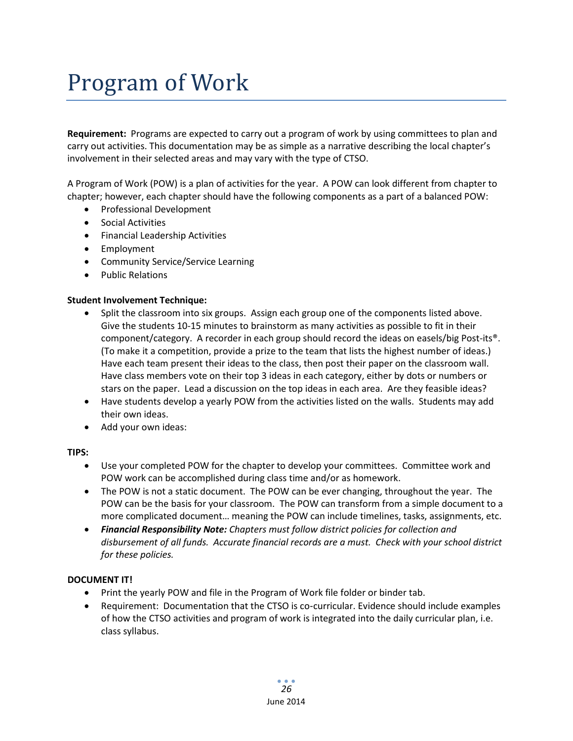## Program of Work

**Requirement:** Programs are expected to carry out a program of work by using committees to plan and carry out activities. This documentation may be as simple as a narrative describing the local chapter's involvement in their selected areas and may vary with the type of CTSO.

A Program of Work (POW) is a plan of activities for the year. A POW can look different from chapter to chapter; however, each chapter should have the following components as a part of a balanced POW:

- Professional Development
- Social Activities
- Financial Leadership Activities
- Employment
- Community Service/Service Learning
- Public Relations

### **Student Involvement Technique:**

- Split the classroom into six groups. Assign each group one of the components listed above. Give the students 10-15 minutes to brainstorm as many activities as possible to fit in their component/category. A recorder in each group should record the ideas on easels/big Post-its®. (To make it a competition, provide a prize to the team that lists the highest number of ideas.) Have each team present their ideas to the class, then post their paper on the classroom wall. Have class members vote on their top 3 ideas in each category, either by dots or numbers or stars on the paper. Lead a discussion on the top ideas in each area. Are they feasible ideas?
- Have students develop a yearly POW from the activities listed on the walls. Students may add their own ideas.
- Add your own ideas:

### **TIPS:**

- Use your completed POW for the chapter to develop your committees. Committee work and POW work can be accomplished during class time and/or as homework.
- The POW is not a static document. The POW can be ever changing, throughout the year. The POW can be the basis for your classroom. The POW can transform from a simple document to a more complicated document… meaning the POW can include timelines, tasks, assignments, etc.
- *Financial Responsibility Note: Chapters must follow district policies for collection and disbursement of all funds. Accurate financial records are a must. Check with your school district for these policies.*

### **DOCUMENT IT!**

- Print the yearly POW and file in the Program of Work file folder or binder tab.
- Requirement: Documentation that the CTSO is co-curricular. Evidence should include examples of how the CTSO activities and program of work is integrated into the daily curricular plan, i.e. class syllabus.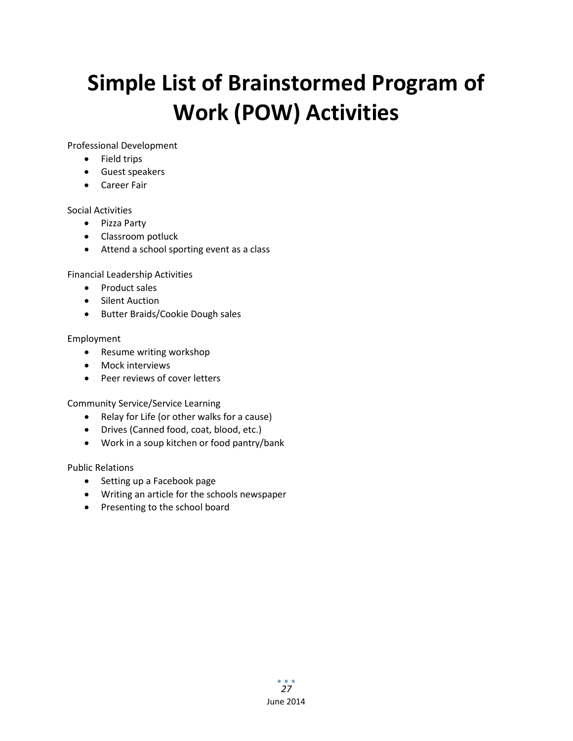## **Simple List of Brainstormed Program of Work (POW) Activities**

Professional Development

- Field trips
- Guest speakers
- Career Fair

### Social Activities

- Pizza Party
- Classroom potluck
- Attend a school sporting event as a class

Financial Leadership Activities

- Product sales
- Silent Auction
- Butter Braids/Cookie Dough sales

### Employment

- Resume writing workshop
- Mock interviews
- Peer reviews of cover letters

Community Service/Service Learning

- Relay for Life (or other walks for a cause)
- Drives (Canned food, coat, blood, etc.)
- Work in a soup kitchen or food pantry/bank

Public Relations

- Setting up a Facebook page
- Writing an article for the schools newspaper
- Presenting to the school board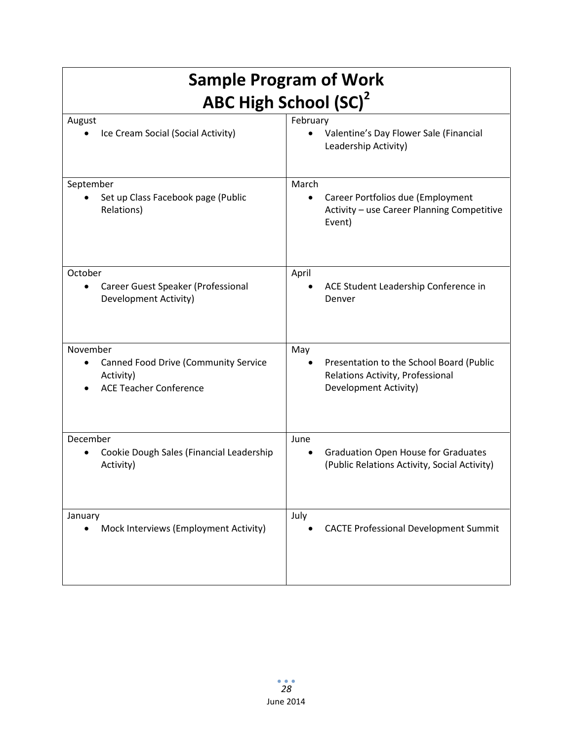| <b>Sample Program of Work</b>                                                             |                                                                                                         |  |
|-------------------------------------------------------------------------------------------|---------------------------------------------------------------------------------------------------------|--|
| <b>ABC High School (SC)<sup>2</sup></b>                                                   |                                                                                                         |  |
| August                                                                                    | February                                                                                                |  |
| Ice Cream Social (Social Activity)                                                        | Valentine's Day Flower Sale (Financial<br>Leadership Activity)                                          |  |
| September                                                                                 | March                                                                                                   |  |
| Set up Class Facebook page (Public<br>٠<br>Relations)                                     | Career Portfolios due (Employment<br>$\bullet$<br>Activity - use Career Planning Competitive<br>Event)  |  |
| October                                                                                   | April                                                                                                   |  |
| Career Guest Speaker (Professional<br>$\bullet$<br>Development Activity)                  | ACE Student Leadership Conference in<br>Denver                                                          |  |
| November                                                                                  | May                                                                                                     |  |
| <b>Canned Food Drive (Community Service</b><br>Activity)<br><b>ACE Teacher Conference</b> | Presentation to the School Board (Public<br>Relations Activity, Professional<br>Development Activity)   |  |
| December                                                                                  | June                                                                                                    |  |
| Cookie Dough Sales (Financial Leadership<br>Activity)                                     | <b>Graduation Open House for Graduates</b><br>$\bullet$<br>(Public Relations Activity, Social Activity) |  |
| January                                                                                   | July                                                                                                    |  |
| Mock Interviews (Employment Activity)                                                     | <b>CACTE Professional Development Summit</b>                                                            |  |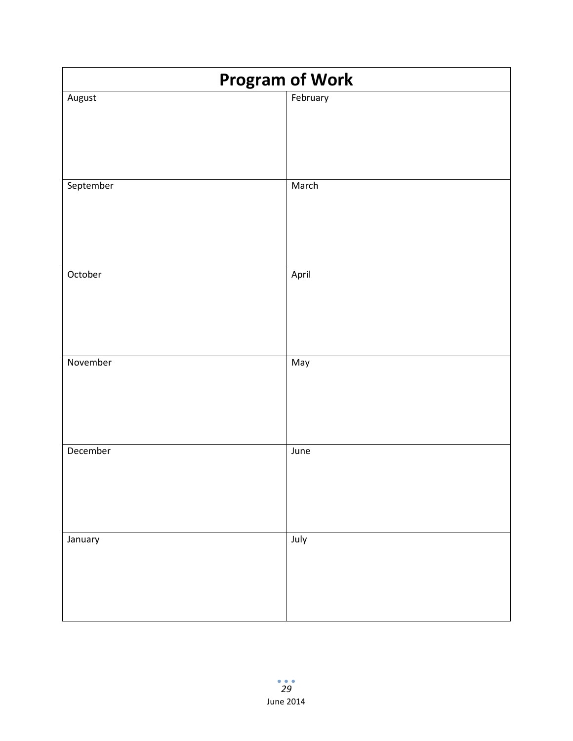| <b>Program of Work</b> |          |
|------------------------|----------|
| August                 | February |
|                        |          |
|                        |          |
|                        |          |
|                        |          |
| September              | March    |
|                        |          |
|                        |          |
|                        |          |
|                        |          |
| October                | April    |
|                        |          |
|                        |          |
|                        |          |
|                        |          |
| November               | May      |
|                        |          |
|                        |          |
|                        |          |
|                        |          |
| December               | June     |
|                        |          |
|                        |          |
|                        |          |
|                        |          |
| January                | July     |
|                        |          |
|                        |          |
|                        |          |
|                        |          |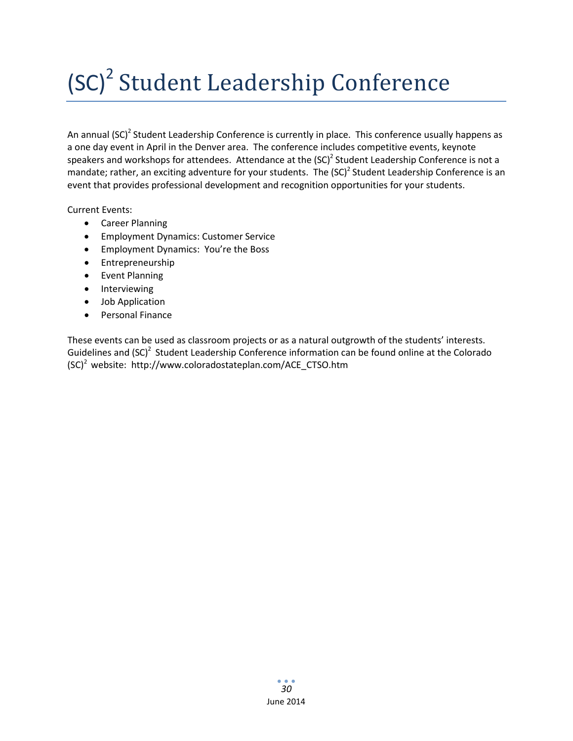# (SC)<sup>2</sup> Student Leadership Conference

An annual  $(SC)^2$  Student Leadership Conference is currently in place. This conference usually happens as a one day event in April in the Denver area. The conference includes competitive events, keynote speakers and workshops for attendees. Attendance at the  $(SC)^2$  Student Leadership Conference is not a mandate; rather, an exciting adventure for your students. The  ${(\text{SC})}^2$  Student Leadership Conference is an event that provides professional development and recognition opportunities for your students.

Current Events:

- Career Planning
- Employment Dynamics: Customer Service
- Employment Dynamics: You're the Boss
- Entrepreneurship
- Event Planning
- Interviewing
- Job Application
- Personal Finance

These events can be used as classroom projects or as a natural outgrowth of the students' interests. Guidelines and (SC)<sup>2</sup> Student Leadership Conference information can be found online at the Colorado  $(SC)^2$  website: http://www.coloradostateplan.com/ACE\_CTSO.htm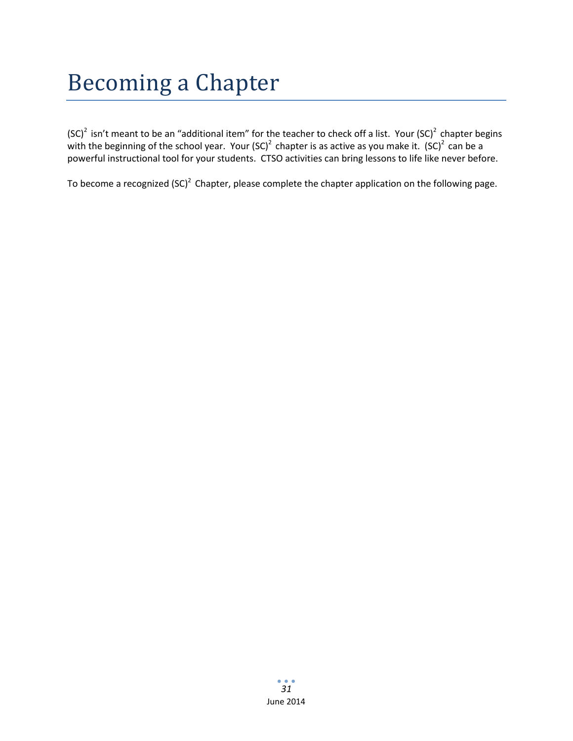## Becoming a Chapter

(SC)<sup>2</sup> isn't meant to be an "additional item" for the teacher to check off a list. Your (SC)<sup>2</sup> chapter begins with the beginning of the school year. Your (SC)<sup>2</sup> chapter is as active as you make it.  $(SC)^2$  can be a powerful instructional tool for your students. CTSO activities can bring lessons to life like never before.

To become a recognized (SC)<sup>2</sup> Chapter, please complete the chapter application on the following page.